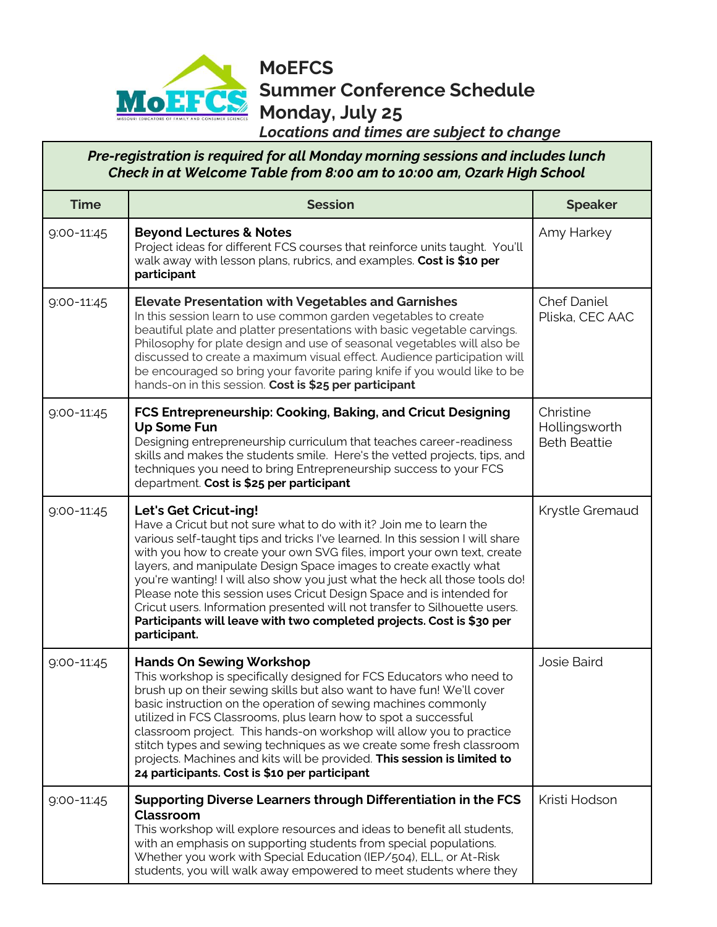

**MoEFCS Summer Conference Schedule Monday, July 25** 

*Locations and times are subject to change*

## *Pre-registration is required for all Monday morning sessions and includes lunch Check in at Welcome Table from 8:00 am to 10:00 am, Ozark High School*

| <b>Time</b>    | <b>Session</b>                                                                                                                                                                                                                                                                                                                                                                                                                                                                                                                                                                                                                                                | <b>Speaker</b>                                    |
|----------------|---------------------------------------------------------------------------------------------------------------------------------------------------------------------------------------------------------------------------------------------------------------------------------------------------------------------------------------------------------------------------------------------------------------------------------------------------------------------------------------------------------------------------------------------------------------------------------------------------------------------------------------------------------------|---------------------------------------------------|
| $9:00 - 11:45$ | <b>Beyond Lectures &amp; Notes</b><br>Project ideas for different FCS courses that reinforce units taught. You'll<br>walk away with lesson plans, rubrics, and examples. Cost is \$10 per<br>participant                                                                                                                                                                                                                                                                                                                                                                                                                                                      | Amy Harkey                                        |
| 9:00-11:45     | <b>Elevate Presentation with Vegetables and Garnishes</b><br>In this session learn to use common garden vegetables to create<br>beautiful plate and platter presentations with basic vegetable carvings.<br>Philosophy for plate design and use of seasonal vegetables will also be<br>discussed to create a maximum visual effect. Audience participation will<br>be encouraged so bring your favorite paring knife if you would like to be<br>hands-on in this session. Cost is \$25 per participant                                                                                                                                                        | <b>Chef Daniel</b><br>Pliska, CEC AAC             |
| 9:00-11:45     | FCS Entrepreneurship: Cooking, Baking, and Cricut Designing<br><b>Up Some Fun</b><br>Designing entrepreneurship curriculum that teaches career-readiness<br>skills and makes the students smile. Here's the vetted projects, tips, and<br>techniques you need to bring Entrepreneurship success to your FCS<br>department. Cost is \$25 per participant                                                                                                                                                                                                                                                                                                       | Christine<br>Hollingsworth<br><b>Beth Beattie</b> |
| $9:00 - 11:45$ | Let's Get Cricut-ing!<br>Have a Cricut but not sure what to do with it? Join me to learn the<br>various self-taught tips and tricks I've learned. In this session I will share<br>with you how to create your own SVG files, import your own text, create<br>layers, and manipulate Design Space images to create exactly what<br>you're wanting! I will also show you just what the heck all those tools do!<br>Please note this session uses Cricut Design Space and is intended for<br>Cricut users. Information presented will not transfer to Silhouette users.<br>Participants will leave with two completed projects. Cost is \$30 per<br>participant. | Krystle Gremaud                                   |
| $9:00 - 11:45$ | <b>Hands On Sewing Workshop</b><br>This workshop is specifically designed for FCS Educators who need to<br>brush up on their sewing skills but also want to have fun! We'll cover<br>basic instruction on the operation of sewing machines commonly<br>utilized in FCS Classrooms, plus learn how to spot a successful<br>classroom project. This hands-on workshop will allow you to practice<br>stitch types and sewing techniques as we create some fresh classroom<br>projects. Machines and kits will be provided. This session is limited to<br>24 participants. Cost is \$10 per participant                                                           | <b>Josie Baird</b>                                |
| 9:00-11:45     | Supporting Diverse Learners through Differentiation in the FCS<br>Classroom<br>This workshop will explore resources and ideas to benefit all students,<br>with an emphasis on supporting students from special populations.<br>Whether you work with Special Education (IEP/504), ELL, or At-Risk<br>students, you will walk away empowered to meet students where they                                                                                                                                                                                                                                                                                       | Kristi Hodson                                     |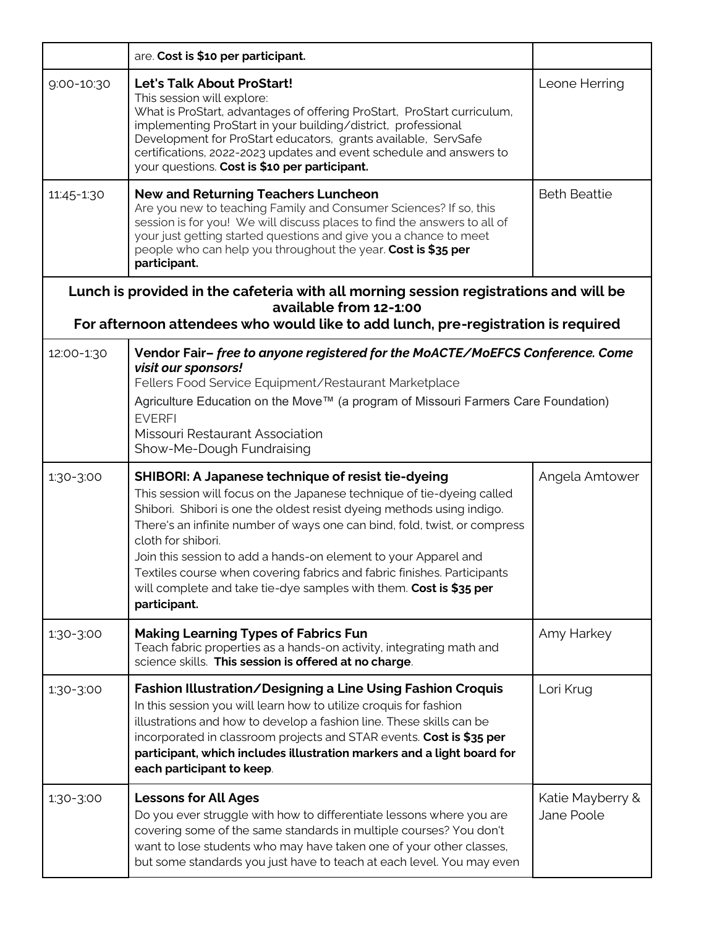|            | are. Cost is \$10 per participant.                                                                                                                                                                                                                                                                                                                                                                                                                                                                                                            |                                |
|------------|-----------------------------------------------------------------------------------------------------------------------------------------------------------------------------------------------------------------------------------------------------------------------------------------------------------------------------------------------------------------------------------------------------------------------------------------------------------------------------------------------------------------------------------------------|--------------------------------|
| 9:00-10:30 | <b>Let's Talk About ProStart!</b><br>This session will explore:<br>What is ProStart, advantages of offering ProStart, ProStart curriculum,<br>implementing ProStart in your building/district, professional<br>Development for ProStart educators, grants available, ServSafe<br>certifications, 2022-2023 updates and event schedule and answers to<br>your questions. Cost is \$10 per participant.                                                                                                                                         | Leone Herring                  |
| 11:45-1:30 | <b>New and Returning Teachers Luncheon</b><br>Are you new to teaching Family and Consumer Sciences? If so, this<br>session is for you! We will discuss places to find the answers to all of<br>your just getting started questions and give you a chance to meet<br>people who can help you throughout the year. Cost is \$35 per<br>participant.                                                                                                                                                                                             | <b>Beth Beattie</b>            |
|            | Lunch is provided in the cafeteria with all morning session registrations and will be<br>available from 12-1:00<br>For afternoon attendees who would like to add lunch, pre-registration is required                                                                                                                                                                                                                                                                                                                                          |                                |
| 12:00-1:30 | Vendor Fair-free to anyone registered for the MoACTE/MoEFCS Conference. Come<br>visit our sponsors!<br>Fellers Food Service Equipment/Restaurant Marketplace<br>Agriculture Education on the Move™ (a program of Missouri Farmers Care Foundation)<br><b>EVERFI</b><br>Missouri Restaurant Association<br>Show-Me-Dough Fundraising                                                                                                                                                                                                           |                                |
| 1:30-3:00  | SHIBORI: A Japanese technique of resist tie-dyeing<br>This session will focus on the Japanese technique of tie-dyeing called<br>Shibori. Shibori is one the oldest resist dyeing methods using indigo.<br>There's an infinite number of ways one can bind, fold, twist, or compress<br>cloth for shibori.<br>Join this session to add a hands-on element to your Apparel and<br>Textiles course when covering fabrics and fabric finishes. Participants<br>will complete and take tie-dye samples with them. Cost is \$35 per<br>participant. | Angela Amtower                 |
| 1:30-3:00  | <b>Making Learning Types of Fabrics Fun</b><br>Teach fabric properties as a hands-on activity, integrating math and<br>science skills. This session is offered at no charge.                                                                                                                                                                                                                                                                                                                                                                  | Amy Harkey                     |
| 1:30-3:00  | Fashion Illustration/Designing a Line Using Fashion Croquis<br>In this session you will learn how to utilize croquis for fashion<br>illustrations and how to develop a fashion line. These skills can be<br>incorporated in classroom projects and STAR events. Cost is \$35 per<br>participant, which includes illustration markers and a light board for<br>each participant to keep.                                                                                                                                                       | Lori Krug                      |
| 1:30-3:00  | <b>Lessons for All Ages</b><br>Do you ever struggle with how to differentiate lessons where you are<br>covering some of the same standards in multiple courses? You don't<br>want to lose students who may have taken one of your other classes,<br>but some standards you just have to teach at each level. You may even                                                                                                                                                                                                                     | Katie Mayberry &<br>Jane Poole |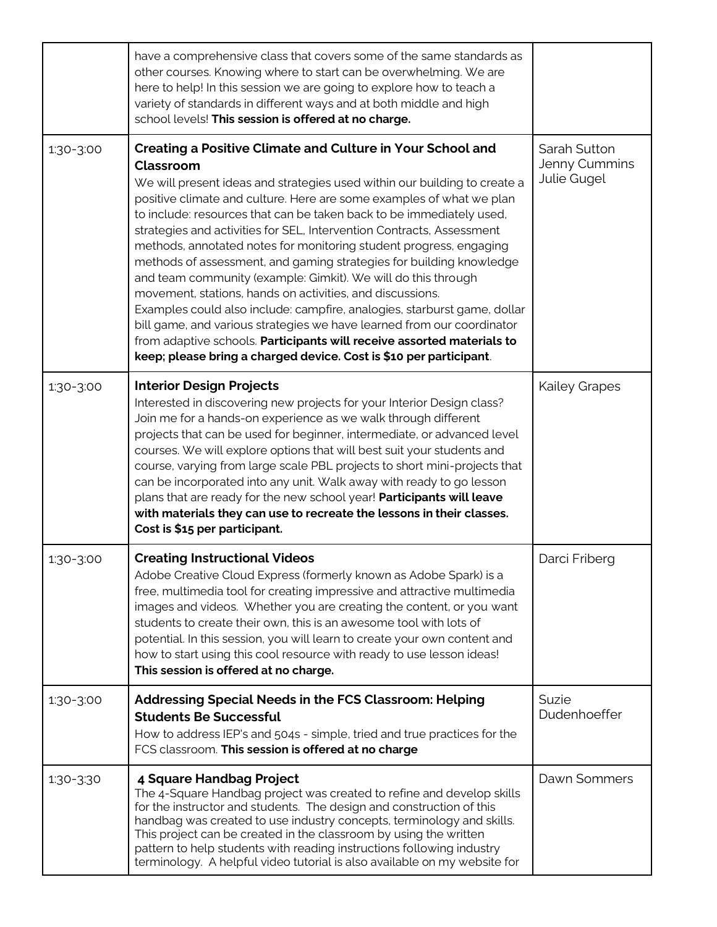|           | have a comprehensive class that covers some of the same standards as<br>other courses. Knowing where to start can be overwhelming. We are<br>here to help! In this session we are going to explore how to teach a<br>variety of standards in different ways and at both middle and high<br>school levels! This session is offered at no charge.                                                                                                                                                                                                                                                                                                                                                                                                                                                                                                                                                                                                                       |                                              |
|-----------|-----------------------------------------------------------------------------------------------------------------------------------------------------------------------------------------------------------------------------------------------------------------------------------------------------------------------------------------------------------------------------------------------------------------------------------------------------------------------------------------------------------------------------------------------------------------------------------------------------------------------------------------------------------------------------------------------------------------------------------------------------------------------------------------------------------------------------------------------------------------------------------------------------------------------------------------------------------------------|----------------------------------------------|
| 1:30-3:00 | Creating a Positive Climate and Culture in Your School and<br><b>Classroom</b><br>We will present ideas and strategies used within our building to create a<br>positive climate and culture. Here are some examples of what we plan<br>to include: resources that can be taken back to be immediately used,<br>strategies and activities for SEL, Intervention Contracts, Assessment<br>methods, annotated notes for monitoring student progress, engaging<br>methods of assessment, and gaming strategies for building knowledge<br>and team community (example: Gimkit). We will do this through<br>movement, stations, hands on activities, and discussions.<br>Examples could also include: campfire, analogies, starburst game, dollar<br>bill game, and various strategies we have learned from our coordinator<br>from adaptive schools. Participants will receive assorted materials to<br>keep; please bring a charged device. Cost is \$10 per participant. | Sarah Sutton<br>Jenny Cummins<br>Julie Gugel |
| 1:30-3:00 | <b>Interior Design Projects</b><br>Interested in discovering new projects for your Interior Design class?<br>Join me for a hands-on experience as we walk through different<br>projects that can be used for beginner, intermediate, or advanced level<br>courses. We will explore options that will best suit your students and<br>course, varying from large scale PBL projects to short mini-projects that<br>can be incorporated into any unit. Walk away with ready to go lesson<br>plans that are ready for the new school year! Participants will leave<br>with materials they can use to recreate the lessons in their classes.<br>Cost is \$15 per participant.                                                                                                                                                                                                                                                                                              | <b>Kailey Grapes</b>                         |
| 1:30-3:00 | <b>Creating Instructional Videos</b><br>Adobe Creative Cloud Express (formerly known as Adobe Spark) is a<br>free, multimedia tool for creating impressive and attractive multimedia<br>images and videos. Whether you are creating the content, or you want<br>students to create their own, this is an awesome tool with lots of<br>potential. In this session, you will learn to create your own content and<br>how to start using this cool resource with ready to use lesson ideas!<br>This session is offered at no charge.                                                                                                                                                                                                                                                                                                                                                                                                                                     | Darci Friberg                                |
| 1:30-3:00 | Addressing Special Needs in the FCS Classroom: Helping<br><b>Students Be Successful</b><br>How to address IEP's and 504s - simple, tried and true practices for the<br>FCS classroom. This session is offered at no charge                                                                                                                                                                                                                                                                                                                                                                                                                                                                                                                                                                                                                                                                                                                                            | Suzie<br>Dudenhoeffer                        |
| 1:30-3:30 | 4 Square Handbag Project<br>The 4-Square Handbag project was created to refine and develop skills<br>for the instructor and students. The design and construction of this<br>handbag was created to use industry concepts, terminology and skills.<br>This project can be created in the classroom by using the written<br>pattern to help students with reading instructions following industry<br>terminology. A helpful video tutorial is also available on my website for                                                                                                                                                                                                                                                                                                                                                                                                                                                                                         | Dawn Sommers                                 |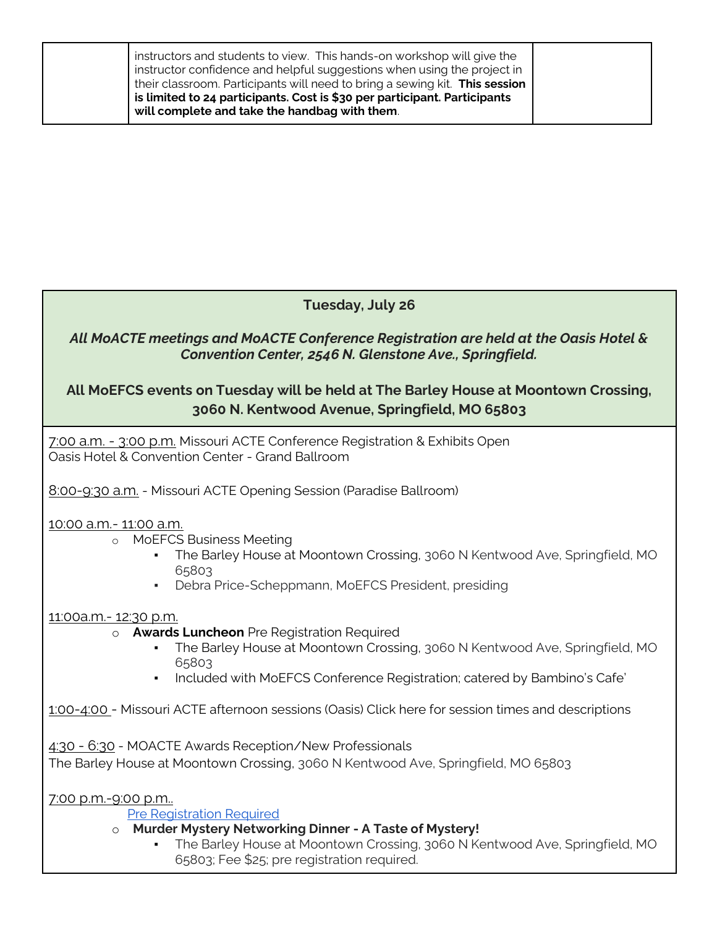| instructors and students to view. This hands-on workshop will give the<br>instructor confidence and helpful suggestions when using the project in<br>their classroom. Participants will need to bring a sewing kit. This session<br>is limited to 24 participants. Cost is \$30 per participant. Participants<br>will complete and take the handbag with them. |  |
|----------------------------------------------------------------------------------------------------------------------------------------------------------------------------------------------------------------------------------------------------------------------------------------------------------------------------------------------------------------|--|
|----------------------------------------------------------------------------------------------------------------------------------------------------------------------------------------------------------------------------------------------------------------------------------------------------------------------------------------------------------------|--|

# **Tuesday, July 26**

## *All MoACTE meetings and MoACTE Conference Registration are held at the Oasis Hotel & Convention Center, 2546 N. Glenstone Ave., Springfield.*

# **All MoEFCS events on Tuesday will be held at The Barley House at Moontown Crossing, 3060 N. Kentwood Avenue, Springfield, MO 65803**

7:00 a.m. - 3:00 p.m. Missouri ACTE Conference Registration & Exhibits Open Oasis Hotel & Convention Center - Grand Ballroom

8:00-9:30 a.m. - Missouri ACTE Opening Session (Paradise Ballroom)

### 10:00 a.m.- 11:00 a.m.

- o MoEFCS Business Meeting
	- **The Barley House at Moontown Crossing, 3060 N Kentwood Ave, Springfield, MO** 65803
	- **•** Debra Price-Scheppmann, MoEFCS President, presiding

### 11:00a.m.- 12:30 p.m.

### o **Awards Luncheon** Pre Registration Required

- **The Barley House at Moontown Crossing, 3060 N Kentwood Ave, Springfield, MO** 65803
- Included with MoEFCS Conference Registration; catered by Bambino's Cafe'

1:00-4:00 - Missouri ACTE afternoon sessions (Oasis) Click here for session times and descriptions

4:30 - 6:30 - MOACTE Awards Reception/New Professionals

The Barley House at Moontown Crossing, 3060 N Kentwood Ave, Springfield, MO 65803

7:00 p.m.-9:00 p.m..

[Pre Registration Required](https://web.acteonline.org/ACTE/Contacts/Sign_In.aspx?ReturnUrl=%2fACTE%2fSSO_Login.aspx%3fReturnURL%3dhttps%253a%252f%252fiweb.acteonline.org%252fLogIn%252flogin.aspx%253fReturnUrl%253d%25252fConference%25252fRegistrationProcessOverview.aspx%25253fId%25253d195%2526Id%253d195&RedirectOnlogin=true)

- o **Murder Mystery Networking Dinner - A Taste of Mystery!**
	- **The Barley House at Moontown Crossing, 3060 N Kentwood Ave, Springfield, MO** 65803; Fee \$25; pre registration required.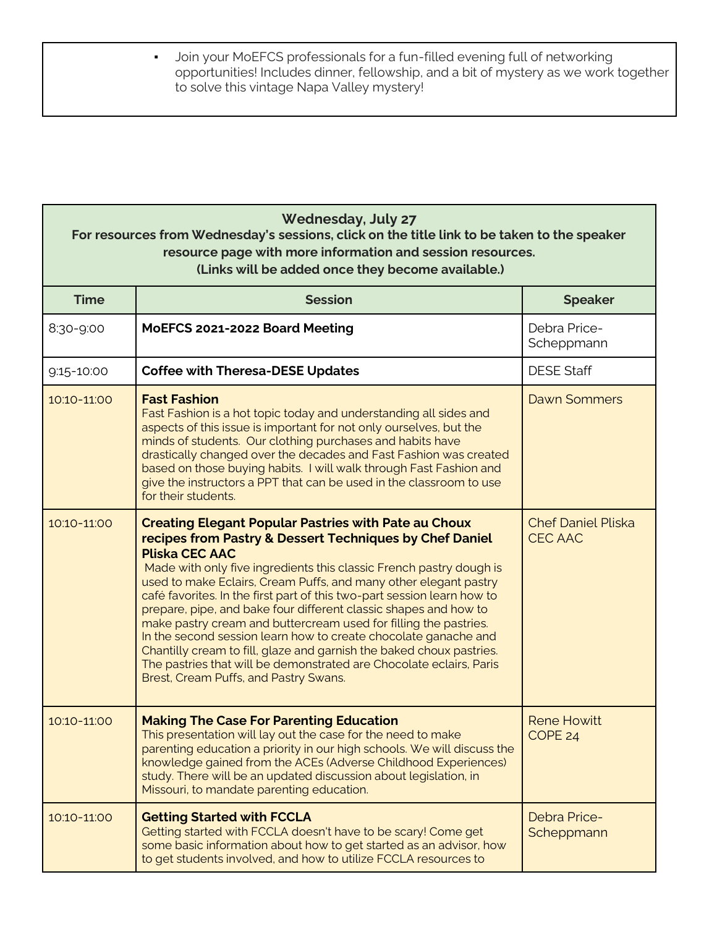| Join your MoEFCS professionals for a fun-filled evening full of networking           |
|--------------------------------------------------------------------------------------|
| opportunities! Includes dinner, fellowship, and a bit of mystery as we work together |
| to solve this vintage Napa Valley mystery!                                           |

| <b>Wednesday, July 27</b><br>For resources from Wednesday's sessions, click on the title link to be taken to the speaker<br>resource page with more information and session resources.<br>(Links will be added once they become available.) |                                                                                                                                                                                                                                                                                                                                                                                                                                                                                                                                                                                                                                                                                                                                                                          |                                             |
|---------------------------------------------------------------------------------------------------------------------------------------------------------------------------------------------------------------------------------------------|--------------------------------------------------------------------------------------------------------------------------------------------------------------------------------------------------------------------------------------------------------------------------------------------------------------------------------------------------------------------------------------------------------------------------------------------------------------------------------------------------------------------------------------------------------------------------------------------------------------------------------------------------------------------------------------------------------------------------------------------------------------------------|---------------------------------------------|
| <b>Time</b>                                                                                                                                                                                                                                 | <b>Session</b>                                                                                                                                                                                                                                                                                                                                                                                                                                                                                                                                                                                                                                                                                                                                                           | <b>Speaker</b>                              |
| 8:30-9:00                                                                                                                                                                                                                                   | MoEFCS 2021-2022 Board Meeting                                                                                                                                                                                                                                                                                                                                                                                                                                                                                                                                                                                                                                                                                                                                           | Debra Price-<br>Scheppmann                  |
| 9:15-10:00                                                                                                                                                                                                                                  | <b>Coffee with Theresa-DESE Updates</b>                                                                                                                                                                                                                                                                                                                                                                                                                                                                                                                                                                                                                                                                                                                                  | <b>DESE Staff</b>                           |
| 10:10-11:00                                                                                                                                                                                                                                 | <b>Fast Fashion</b><br>Fast Fashion is a hot topic today and understanding all sides and<br>aspects of this issue is important for not only ourselves, but the<br>minds of students. Our clothing purchases and habits have<br>drastically changed over the decades and Fast Fashion was created<br>based on those buying habits. I will walk through Fast Fashion and<br>give the instructors a PPT that can be used in the classroom to use<br>for their students.                                                                                                                                                                                                                                                                                                     | <b>Dawn Sommers</b>                         |
| 10:10-11:00                                                                                                                                                                                                                                 | <b>Creating Elegant Popular Pastries with Pate au Choux</b><br>recipes from Pastry & Dessert Techniques by Chef Daniel<br><b>Pliska CEC AAC</b><br>Made with only five ingredients this classic French pastry dough is<br>used to make Eclairs, Cream Puffs, and many other elegant pastry<br>café favorites. In the first part of this two-part session learn how to<br>prepare, pipe, and bake four different classic shapes and how to<br>make pastry cream and buttercream used for filling the pastries.<br>In the second session learn how to create chocolate ganache and<br>Chantilly cream to fill, glaze and garnish the baked choux pastries.<br>The pastries that will be demonstrated are Chocolate eclairs, Paris<br>Brest, Cream Puffs, and Pastry Swans. | <b>Chef Daniel Pliska</b><br><b>CEC AAC</b> |
| 10:10-11:00                                                                                                                                                                                                                                 | <b>Making The Case For Parenting Education</b><br>This presentation will lay out the case for the need to make<br>parenting education a priority in our high schools. We will discuss the<br>knowledge gained from the ACEs (Adverse Childhood Experiences)<br>study. There will be an updated discussion about legislation, in<br>Missouri, to mandate parenting education.                                                                                                                                                                                                                                                                                                                                                                                             | <b>Rene Howitt</b><br>COPE <sub>24</sub>    |
| 10:10-11:00                                                                                                                                                                                                                                 | <b>Getting Started with FCCLA</b><br>Getting started with FCCLA doesn't have to be scary! Come get<br>some basic information about how to get started as an advisor, how<br>to get students involved, and how to utilize FCCLA resources to                                                                                                                                                                                                                                                                                                                                                                                                                                                                                                                              | <b>Debra Price-</b><br>Scheppmann           |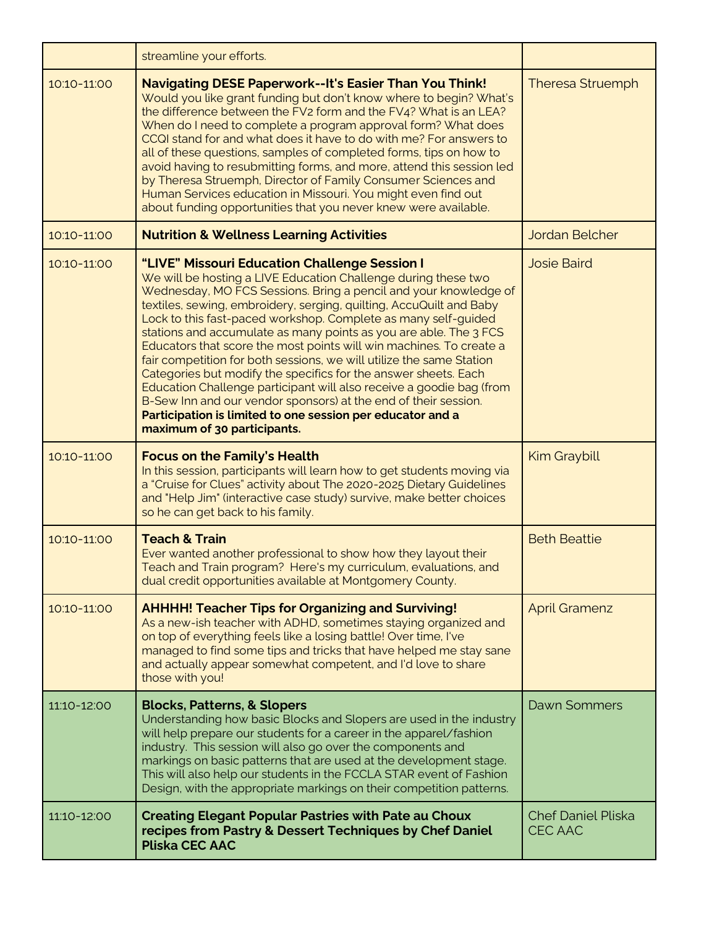|             | streamline your efforts.                                                                                                                                                                                                                                                                                                                                                                                                                                                                                                                                                                                                                                                                                                                                                                                                                                    |                                      |
|-------------|-------------------------------------------------------------------------------------------------------------------------------------------------------------------------------------------------------------------------------------------------------------------------------------------------------------------------------------------------------------------------------------------------------------------------------------------------------------------------------------------------------------------------------------------------------------------------------------------------------------------------------------------------------------------------------------------------------------------------------------------------------------------------------------------------------------------------------------------------------------|--------------------------------------|
| 10:10-11:00 | <b>Navigating DESE Paperwork--It's Easier Than You Think!</b><br>Would you like grant funding but don't know where to begin? What's<br>the difference between the FV2 form and the FV4? What is an LEA?<br>When do I need to complete a program approval form? What does<br>CCQI stand for and what does it have to do with me? For answers to<br>all of these questions, samples of completed forms, tips on how to<br>avoid having to resubmitting forms, and more, attend this session led<br>by Theresa Struemph, Director of Family Consumer Sciences and<br>Human Services education in Missouri. You might even find out<br>about funding opportunities that you never knew were available.                                                                                                                                                          | <b>Theresa Struemph</b>              |
| 10:10-11:00 | <b>Nutrition &amp; Wellness Learning Activities</b>                                                                                                                                                                                                                                                                                                                                                                                                                                                                                                                                                                                                                                                                                                                                                                                                         | Jordan Belcher                       |
| 10:10-11:00 | "LIVE" Missouri Education Challenge Session I<br>We will be hosting a LIVE Education Challenge during these two<br>Wednesday, MO FCS Sessions. Bring a pencil and your knowledge of<br>textiles, sewing, embroidery, serging, quilting, AccuQuilt and Baby<br>Lock to this fast-paced workshop. Complete as many self-guided<br>stations and accumulate as many points as you are able. The 3 FCS<br>Educators that score the most points will win machines. To create a<br>fair competition for both sessions, we will utilize the same Station<br>Categories but modify the specifics for the answer sheets. Each<br>Education Challenge participant will also receive a goodie bag (from<br>B-Sew Inn and our vendor sponsors) at the end of their session.<br>Participation is limited to one session per educator and a<br>maximum of 30 participants. | <b>Josie Baird</b>                   |
| 10:10-11:00 | <b>Focus on the Family's Health</b><br>In this session, participants will learn how to get students moving via<br>a "Cruise for Clues" activity about The 2020-2025 Dietary Guidelines<br>and "Help Jim" (interactive case study) survive, make better choices<br>so he can get back to his family.                                                                                                                                                                                                                                                                                                                                                                                                                                                                                                                                                         | <b>Kim Graybill</b>                  |
| 10:10-11:00 | <b>Teach &amp; Train</b><br>Ever wanted another professional to show how they layout their<br>Teach and Train program? Here's my curriculum, evaluations, and<br>dual credit opportunities available at Montgomery County.                                                                                                                                                                                                                                                                                                                                                                                                                                                                                                                                                                                                                                  | <b>Beth Beattie</b>                  |
| 10:10-11:00 | <b>AHHHH! Teacher Tips for Organizing and Surviving!</b><br>As a new-ish teacher with ADHD, sometimes staying organized and<br>on top of everything feels like a losing battle! Over time, I've<br>managed to find some tips and tricks that have helped me stay sane<br>and actually appear somewhat competent, and I'd love to share<br>those with you!                                                                                                                                                                                                                                                                                                                                                                                                                                                                                                   | <b>April Gramenz</b>                 |
| 11:10-12:00 | <b>Blocks, Patterns, &amp; Slopers</b><br>Understanding how basic Blocks and Slopers are used in the industry<br>will help prepare our students for a career in the apparel/fashion<br>industry. This session will also go over the components and<br>markings on basic patterns that are used at the development stage.<br>This will also help our students in the FCCLA STAR event of Fashion<br>Design, with the appropriate markings on their competition patterns.                                                                                                                                                                                                                                                                                                                                                                                     | Dawn Sommers                         |
| 11:10-12:00 | <b>Creating Elegant Popular Pastries with Pate au Choux</b><br>recipes from Pastry & Dessert Techniques by Chef Daniel<br><b>Pliska CEC AAC</b>                                                                                                                                                                                                                                                                                                                                                                                                                                                                                                                                                                                                                                                                                                             | <b>Chef Daniel Pliska</b><br>CEC AAC |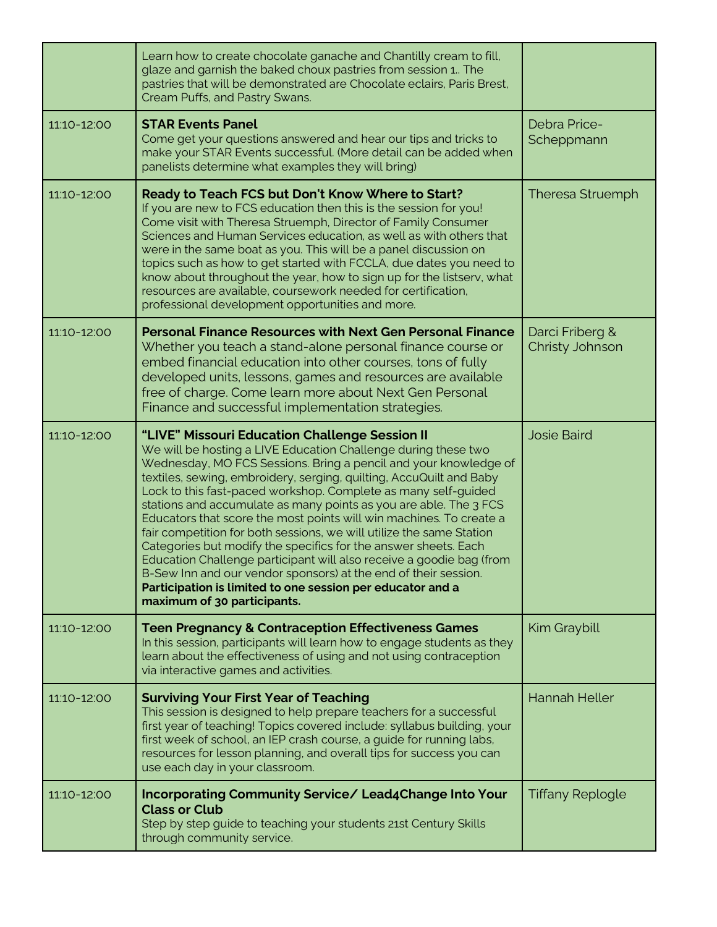|             | Learn how to create chocolate ganache and Chantilly cream to fill,<br>glaze and garnish the baked choux pastries from session 1. The<br>pastries that will be demonstrated are Chocolate eclairs, Paris Brest,<br>Cream Puffs, and Pastry Swans.                                                                                                                                                                                                                                                                                                                                                                                                                                                                                                                                                                                                             |                                    |
|-------------|--------------------------------------------------------------------------------------------------------------------------------------------------------------------------------------------------------------------------------------------------------------------------------------------------------------------------------------------------------------------------------------------------------------------------------------------------------------------------------------------------------------------------------------------------------------------------------------------------------------------------------------------------------------------------------------------------------------------------------------------------------------------------------------------------------------------------------------------------------------|------------------------------------|
| 11:10-12:00 | <b>STAR Events Panel</b><br>Come get your questions answered and hear our tips and tricks to<br>make your STAR Events successful. (More detail can be added when<br>panelists determine what examples they will bring)                                                                                                                                                                                                                                                                                                                                                                                                                                                                                                                                                                                                                                       | Debra Price-<br>Scheppmann         |
| 11:10-12:00 | Ready to Teach FCS but Don't Know Where to Start?<br>If you are new to FCS education then this is the session for you!<br>Come visit with Theresa Struemph, Director of Family Consumer<br>Sciences and Human Services education, as well as with others that<br>were in the same boat as you. This will be a panel discussion on<br>topics such as how to get started with FCCLA, due dates you need to<br>know about throughout the year, how to sign up for the listsery, what<br>resources are available, coursework needed for certification,<br>professional development opportunities and more.                                                                                                                                                                                                                                                       | <b>Theresa Struemph</b>            |
| 11:10-12:00 | <b>Personal Finance Resources with Next Gen Personal Finance</b><br>Whether you teach a stand-alone personal finance course or<br>embed financial education into other courses, tons of fully<br>developed units, lessons, games and resources are available<br>free of charge. Come learn more about Next Gen Personal<br>Finance and successful implementation strategies.                                                                                                                                                                                                                                                                                                                                                                                                                                                                                 | Darci Friberg &<br>Christy Johnson |
| 11:10-12:00 | "LIVE" Missouri Education Challenge Session II<br>We will be hosting a LIVE Education Challenge during these two<br>Wednesday, MO FCS Sessions. Bring a pencil and your knowledge of<br>textiles, sewing, embroidery, serging, quilting, AccuQuilt and Baby<br>Lock to this fast-paced workshop. Complete as many self-guided<br>stations and accumulate as many points as you are able. The 3 FCS<br>Educators that score the most points will win machines. To create a<br>fair competition for both sessions, we will utilize the same Station<br>Categories but modify the specifics for the answer sheets. Each<br>Education Challenge participant will also receive a goodie bag (from<br>B-Sew Inn and our vendor sponsors) at the end of their session.<br>Participation is limited to one session per educator and a<br>maximum of 30 participants. | <b>Josie Baird</b>                 |
| 11:10-12:00 | <b>Teen Pregnancy &amp; Contraception Effectiveness Games</b><br>In this session, participants will learn how to engage students as they<br>learn about the effectiveness of using and not using contraception<br>via interactive games and activities.                                                                                                                                                                                                                                                                                                                                                                                                                                                                                                                                                                                                      | Kim Graybill                       |
| 11:10-12:00 | <b>Surviving Your First Year of Teaching</b><br>This session is designed to help prepare teachers for a successful<br>first year of teaching! Topics covered include: syllabus building, your<br>first week of school, an IEP crash course, a guide for running labs,<br>resources for lesson planning, and overall tips for success you can<br>use each day in your classroom.                                                                                                                                                                                                                                                                                                                                                                                                                                                                              | <b>Hannah Heller</b>               |
| 11:10-12:00 | Incorporating Community Service/ Lead4Change Into Your<br><b>Class or Club</b><br>Step by step guide to teaching your students 21st Century Skills<br>through community service.                                                                                                                                                                                                                                                                                                                                                                                                                                                                                                                                                                                                                                                                             | <b>Tiffany Replogle</b>            |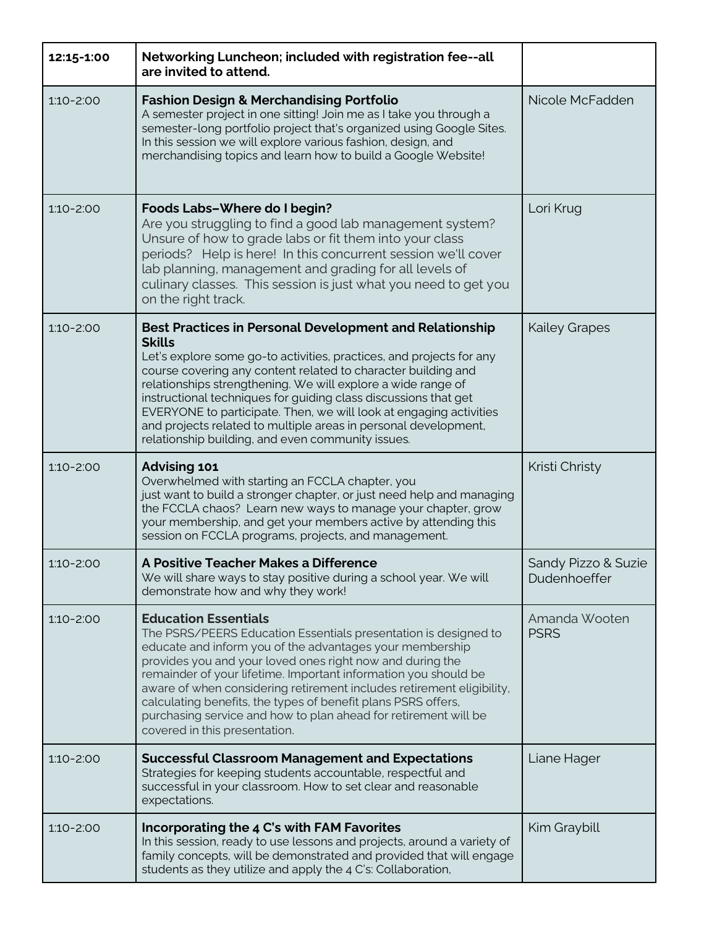| 12:15-1:00    | Networking Luncheon; included with registration fee--all<br>are invited to attend.                                                                                                                                                                                                                                                                                                                                                                                                                                                                        |                                     |
|---------------|-----------------------------------------------------------------------------------------------------------------------------------------------------------------------------------------------------------------------------------------------------------------------------------------------------------------------------------------------------------------------------------------------------------------------------------------------------------------------------------------------------------------------------------------------------------|-------------------------------------|
| $1:10 - 2:00$ | <b>Fashion Design &amp; Merchandising Portfolio</b><br>A semester project in one sitting! Join me as I take you through a<br>semester-long portfolio project that's organized using Google Sites.<br>In this session we will explore various fashion, design, and<br>merchandising topics and learn how to build a Google Website!                                                                                                                                                                                                                        | Nicole McFadden                     |
| $1:10 - 2:00$ | Foods Labs-Where do I begin?<br>Are you struggling to find a good lab management system?<br>Unsure of how to grade labs or fit them into your class<br>periods? Help is here! In this concurrent session we'll cover<br>lab planning, management and grading for all levels of<br>culinary classes. This session is just what you need to get you<br>on the right track.                                                                                                                                                                                  | Lori Krug                           |
| $1:10 - 2:00$ | <b>Best Practices in Personal Development and Relationship</b><br><b>Skills</b><br>Let's explore some go-to activities, practices, and projects for any<br>course covering any content related to character building and<br>relationships strengthening. We will explore a wide range of<br>instructional techniques for guiding class discussions that get<br>EVERYONE to participate. Then, we will look at engaging activities<br>and projects related to multiple areas in personal development,<br>relationship building, and even community issues. | <b>Kailey Grapes</b>                |
| $1:10 - 2:00$ | <b>Advising 101</b><br>Overwhelmed with starting an FCCLA chapter, you<br>just want to build a stronger chapter, or just need help and managing<br>the FCCLA chaos? Learn new ways to manage your chapter, grow<br>your membership, and get your members active by attending this<br>session on FCCLA programs, projects, and management.                                                                                                                                                                                                                 | Kristi Christy                      |
| $1:10 - 2:00$ | A Positive Teacher Makes a Difference<br>We will share ways to stay positive during a school year. We will<br>demonstrate how and why they work!                                                                                                                                                                                                                                                                                                                                                                                                          | Sandy Pizzo & Suzie<br>Dudenhoeffer |
| $1:10 - 2:00$ | <b>Education Essentials</b><br>The PSRS/PEERS Education Essentials presentation is designed to<br>educate and inform you of the advantages your membership<br>provides you and your loved ones right now and during the<br>remainder of your lifetime. Important information you should be<br>aware of when considering retirement includes retirement eligibility,<br>calculating benefits, the types of benefit plans PSRS offers,<br>purchasing service and how to plan ahead for retirement will be<br>covered in this presentation.                  | Amanda Wooten<br><b>PSRS</b>        |
| $1:10 - 2:00$ | <b>Successful Classroom Management and Expectations</b><br>Strategies for keeping students accountable, respectful and<br>successful in your classroom. How to set clear and reasonable<br>expectations.                                                                                                                                                                                                                                                                                                                                                  | Liane Hager                         |
| $1:10 - 2:00$ | Incorporating the 4 C's with FAM Favorites<br>In this session, ready to use lessons and projects, around a variety of<br>family concepts, will be demonstrated and provided that will engage<br>students as they utilize and apply the 4 C's: Collaboration,                                                                                                                                                                                                                                                                                              | Kim Graybill                        |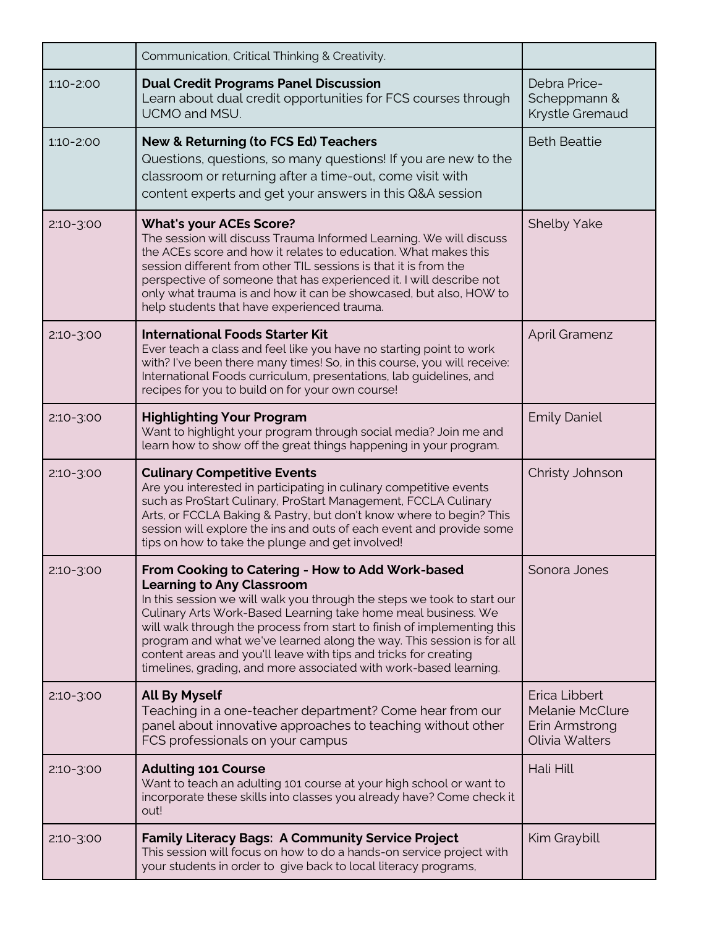|               | Communication, Critical Thinking & Creativity.                                                                                                                                                                                                                                                                                                                                                                                                                                                                                |                                                                             |
|---------------|-------------------------------------------------------------------------------------------------------------------------------------------------------------------------------------------------------------------------------------------------------------------------------------------------------------------------------------------------------------------------------------------------------------------------------------------------------------------------------------------------------------------------------|-----------------------------------------------------------------------------|
| $1:10 - 2:00$ | <b>Dual Credit Programs Panel Discussion</b><br>Learn about dual credit opportunities for FCS courses through<br>UCMO and MSU.                                                                                                                                                                                                                                                                                                                                                                                                | Debra Price-<br>Scheppmann &<br>Krystle Gremaud                             |
| $1:10 - 2:00$ | New & Returning (to FCS Ed) Teachers<br>Questions, questions, so many questions! If you are new to the<br>classroom or returning after a time-out, come visit with<br>content experts and get your answers in this Q&A session                                                                                                                                                                                                                                                                                                | <b>Beth Beattie</b>                                                         |
| $2:10-3:00$   | <b>What's your ACEs Score?</b><br>The session will discuss Trauma Informed Learning. We will discuss<br>the ACEs score and how it relates to education. What makes this<br>session different from other TIL sessions is that it is from the<br>perspective of someone that has experienced it. I will describe not<br>only what trauma is and how it can be showcased, but also, HOW to<br>help students that have experienced trauma.                                                                                        | <b>Shelby Yake</b>                                                          |
| $2:10-3:00$   | <b>International Foods Starter Kit</b><br>Ever teach a class and feel like you have no starting point to work<br>with? I've been there many times! So, in this course, you will receive:<br>International Foods curriculum, presentations, lab guidelines, and<br>recipes for you to build on for your own course!                                                                                                                                                                                                            | <b>April Gramenz</b>                                                        |
| $2:10-3:00$   | <b>Highlighting Your Program</b><br>Want to highlight your program through social media? Join me and<br>learn how to show off the great things happening in your program.                                                                                                                                                                                                                                                                                                                                                     | <b>Emily Daniel</b>                                                         |
|               |                                                                                                                                                                                                                                                                                                                                                                                                                                                                                                                               |                                                                             |
| $2:10-3:00$   | <b>Culinary Competitive Events</b><br>Are you interested in participating in culinary competitive events<br>such as ProStart Culinary, ProStart Management, FCCLA Culinary<br>Arts, or FCCLA Baking & Pastry, but don't know where to begin? This<br>session will explore the ins and outs of each event and provide some<br>tips on how to take the plunge and get involved!                                                                                                                                                 | Christy Johnson                                                             |
| $2:10-3:00$   | From Cooking to Catering - How to Add Work-based<br><b>Learning to Any Classroom</b><br>In this session we will walk you through the steps we took to start our<br>Culinary Arts Work-Based Learning take home meal business. We<br>will walk through the process from start to finish of implementing this<br>program and what we've learned along the way. This session is for all<br>content areas and you'll leave with tips and tricks for creating<br>timelines, grading, and more associated with work-based learning. | Sonora Jones                                                                |
| $2:10-3:00$   | <b>All By Myself</b><br>Teaching in a one-teacher department? Come hear from our<br>panel about innovative approaches to teaching without other<br>FCS professionals on your campus                                                                                                                                                                                                                                                                                                                                           | Erica Libbert<br><b>Melanie McClure</b><br>Erin Armstrong<br>Olivia Walters |
| $2:10-3:00$   | <b>Adulting 101 Course</b><br>Want to teach an adulting 101 course at your high school or want to<br>incorporate these skills into classes you already have? Come check it<br>out!                                                                                                                                                                                                                                                                                                                                            | Hali Hill                                                                   |